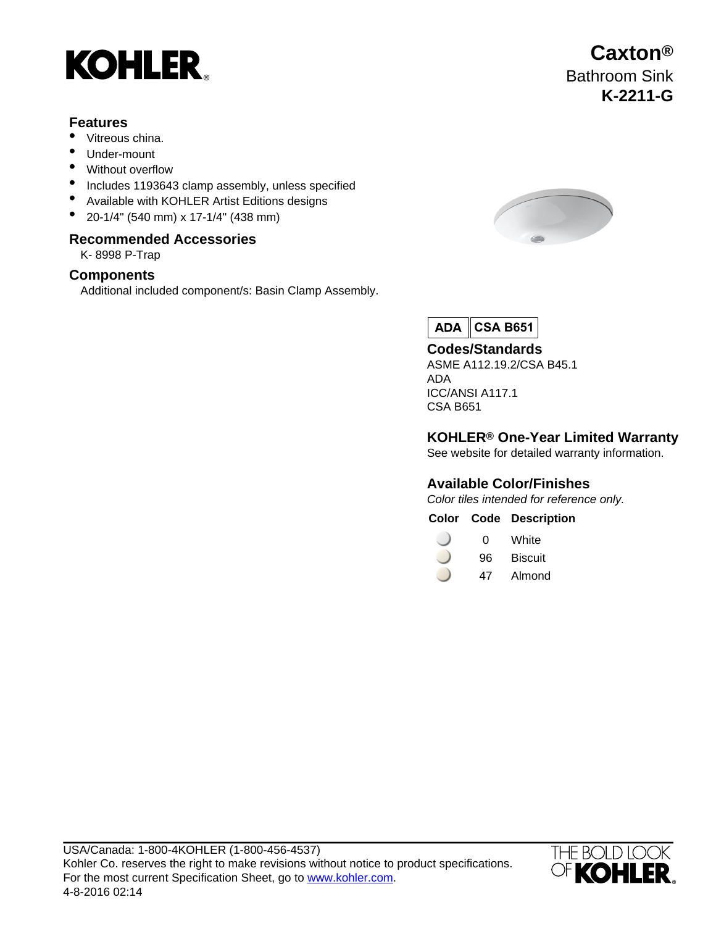# **KOHLER**

#### **Features**

- Vitreous china.
- Under-mount
- Without overflow
- Includes 1193643 clamp assembly, unless specified
- Available with KOHLER Artist Editions designs
- 20-1/4" (540 mm) x 17-1/4" (438 mm)

#### **Recommended Accessories**

K- 8998 P-Trap

#### **Components**

Additional included component/s: Basin Clamp Assembly.



 $ADA$ **CSA B651**

### **Codes/Standards**

ASME A112.19.2/CSA B45.1 ADA ICC/ANSI A117.1 CSA B651

### **KOHLER® One-Year Limited Warranty**

See website for detailed warranty information.

#### **Available Color/Finishes**

Color tiles intended for reference only.

#### **Color Code Description**

- 0 White
- 96 Biscuit
- 47 Almond



## **Caxton®** Bathroom Sink **K-2211-G**